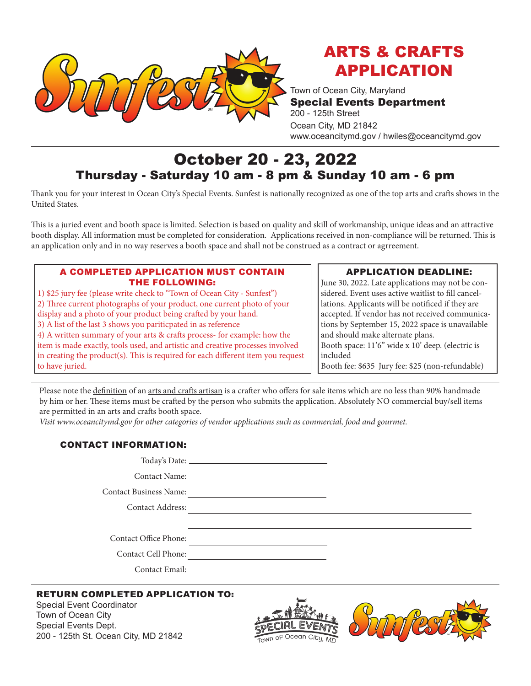

# ARTS & CRAFTS APPLICATION

Town of Ocean City, Maryland Special Events Department 200 - 125th Street Ocean City, MD 21842 www.oceancitymd.gov / hwiles@oceancitymd.gov

## October 20 - 23, 2022 Thursday - Saturday 10 am - 8 pm & Sunday 10 am - 6 pm

Thank you for your interest in Ocean City's Special Events. Sunfest is nationally recognized as one of the top arts and crafts shows in the United States.

This is a juried event and booth space is limited. Selection is based on quality and skill of workmanship, unique ideas and an attractive booth display. All information must be completed for consideration. Applications received in non-compliance will be returned. This is an application only and in no way reserves a booth space and shall not be construed as a contract or agrreement.

#### A COMPLETED APPLICATION MUST CONTAIN THE FOLLOWING:

1) \$25 jury fee (please write check to "Town of Ocean City - Sunfest") 2) Three current photographs of your product, one current photo of your display and a photo of your product being crafted by your hand. 3) A list of the last 3 shows you pariticpated in as reference 4) A written summary of your arts & crafts process- for example: how the item is made exactly, tools used, and artistic and creative processes involved in creating the product(s). This is required for each different item you request to have juried.

### APPLICATION DEADLINE:

June 30, 2022. Late applications may not be considered. Event uses active waitlist to fill cancellations. Applicants will be notificed if they are accepted. If vendor has not received communications by September 15, 2022 space is unavailable and should make alternate plans. Booth space: 11'6" wide x 10' deep. (electric is included Booth fee: \$635 Jury fee: \$25 (non-refundable)

Please note the definition of an arts and crafts artisan is a crafter who offers for sale items which are no less than 90% handmade by him or her. These items must be crafted by the person who submits the application. Absolutely NO commercial buy/sell items are permitted in an arts and crafts booth space.

*Visit www.oceancitymd.gov for other categories of vendor applications such as commercial, food and gourmet.*

#### CONTACT INFORMATION:

| Today's Date: |  |  |
|---------------|--|--|
| Contact Name: |  |  |

Contact Business Name:

Contact Address:

Contact Office Phone:

Contact Cell Phone:

Contact Email:

#### RETURN COMPLETED APPLICATION TO:

Special Event Coordinator Town of Ocean City Special Events Dept. 200 - 125th St. Ocean City, MD 21842